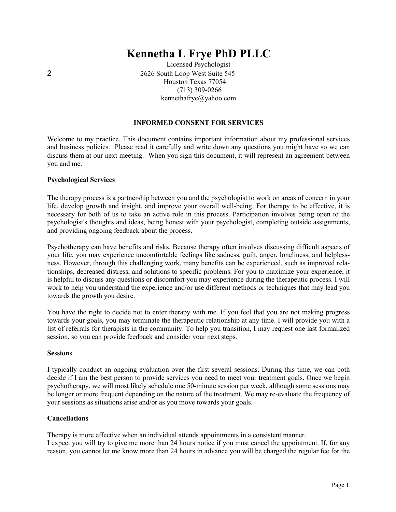# **Kennetha L Frye PhD PLLC**

Licensed Psychologist 2 2626 South Loop West Suite 545 Houston Texas 77054 (713) 309-0266 kennethafrye@yahoo.com

## **INFORMED CONSENT FOR SERVICES**

Welcome to my practice. This document contains important information about my professional services and business policies. Please read it carefully and write down any questions you might have so we can discuss them at our next meeting. When you sign this document, it will represent an agreement between you and me.

#### **Psychological Services**

The therapy process is a partnership between you and the psychologist to work on areas of concern in your life, develop growth and insight, and improve your overall well-being. For therapy to be effective, it is necessary for both of us to take an active role in this process. Participation involves being open to the psychologist's thoughts and ideas, being honest with your psychologist, completing outside assignments, and providing ongoing feedback about the process.

Psychotherapy can have benefits and risks. Because therapy often involves discussing difficult aspects of your life, you may experience uncomfortable feelings like sadness, guilt, anger, loneliness, and helplessness. However, through this challenging work, many benefits can be experienced, such as improved relationships, decreased distress, and solutions to specific problems. For you to maximize your experience, it is helpful to discuss any questions or discomfort you may experience during the therapeutic process. I will work to help you understand the experience and/or use different methods or techniques that may lead you towards the growth you desire.

You have the right to decide not to enter therapy with me. If you feel that you are not making progress towards your goals, you may terminate the therapeutic relationship at any time. I will provide you with a list of referrals for therapists in the community. To help you transition, I may request one last formalized session, so you can provide feedback and consider your next steps.

#### **Sessions**

I typically conduct an ongoing evaluation over the first several sessions. During this time, we can both decide if I am the best person to provide services you need to meet your treatment goals. Once we begin psychotherapy, we will most likely schedule one 50-minute session per week, although some sessions may be longer or more frequent depending on the nature of the treatment. We may re-evaluate the frequency of your sessions as situations arise and/or as you move towards your goals.

#### **Cancellations**

Therapy is more effective when an individual attends appointments in a consistent manner. I expect you will try to give me more than 24 hours notice if you must cancel the appointment. If, for any reason, you cannot let me know more than 24 hours in advance you will be charged the regular fee for the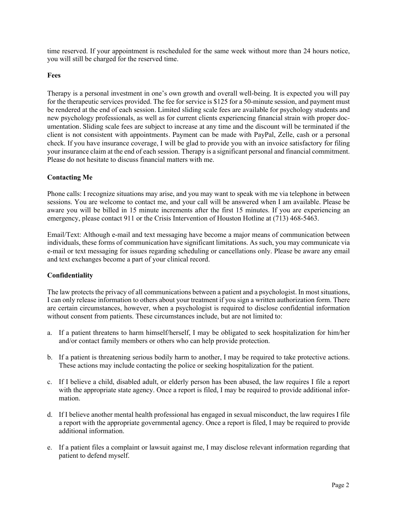time reserved. If your appointment is rescheduled for the same week without more than 24 hours notice, you will still be charged for the reserved time.

## **Fees**

Therapy is a personal investment in one's own growth and overall well-being. It is expected you will pay for the therapeutic services provided. The fee for service is \$125 for a 50-minute session, and payment must be rendered at the end of each session. Limited sliding scale fees are available for psychology students and new psychology professionals, as well as for current clients experiencing financial strain with proper documentation. Sliding scale fees are subject to increase at any time and the discount will be terminated if the client is not consistent with appointments. Payment can be made with PayPal, Zelle, cash or a personal check. If you have insurance coverage, I will be glad to provide you with an invoice satisfactory for filing your insurance claim at the end of each session. Therapy is a significant personal and financial commitment. Please do not hesitate to discuss financial matters with me.

## **Contacting Me**

Phone calls: I recognize situations may arise, and you may want to speak with me via telephone in between sessions. You are welcome to contact me, and your call will be answered when I am available. Please be aware you will be billed in 15 minute increments after the first 15 minutes. If you are experiencing an emergency, please contact 911 or the Crisis Intervention of Houston Hotline at (713) 468-5463.

Email/Text: Although e-mail and text messaging have become a major means of communication between individuals, these forms of communication have significant limitations. As such, you may communicate via e-mail or text messaging for issues regarding scheduling or cancellations only. Please be aware any email and text exchanges become a part of your clinical record.

### **Confidentiality**

The law protects the privacy of all communications between a patient and a psychologist. In most situations, I can only release information to others about your treatment if you sign a written authorization form. There are certain circumstances, however, when a psychologist is required to disclose confidential information without consent from patients. These circumstances include, but are not limited to:

- a. If a patient threatens to harm himself/herself, I may be obligated to seek hospitalization for him/her and/or contact family members or others who can help provide protection.
- b. If a patient is threatening serious bodily harm to another, I may be required to take protective actions. These actions may include contacting the police or seeking hospitalization for the patient.
- c. If I believe a child, disabled adult, or elderly person has been abused, the law requires I file a report with the appropriate state agency. Once a report is filed, I may be required to provide additional information.
- d. If I believe another mental health professional has engaged in sexual misconduct, the law requires I file a report with the appropriate governmental agency. Once a report is filed, I may be required to provide additional information.
- e. If a patient files a complaint or lawsuit against me, I may disclose relevant information regarding that patient to defend myself.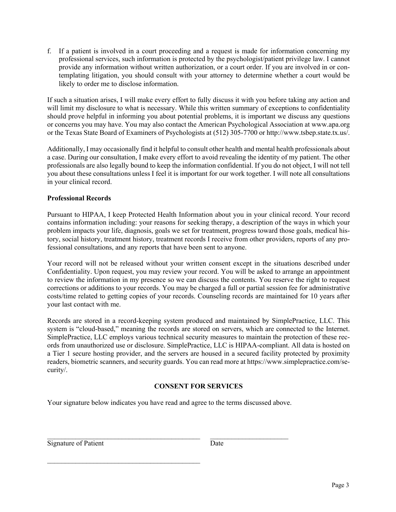f. If a patient is involved in a court proceeding and a request is made for information concerning my professional services, such information is protected by the psychologist/patient privilege law. I cannot provide any information without written authorization, or a court order. If you are involved in or contemplating litigation, you should consult with your attorney to determine whether a court would be likely to order me to disclose information.

If such a situation arises, I will make every effort to fully discuss it with you before taking any action and will limit my disclosure to what is necessary. While this written summary of exceptions to confidentiality should prove helpful in informing you about potential problems, it is important we discuss any questions or concerns you may have. You may also contact the American Psychological Association at www.apa.org or the Texas State Board of Examiners of Psychologists at (512) 305-7700 or http://www.tsbep.state.tx.us/.

Additionally, I may occasionally find it helpful to consult other health and mental health professionals about a case. During our consultation, I make every effort to avoid revealing the identity of my patient. The other professionals are also legally bound to keep the information confidential. If you do not object, I will not tell you about these consultations unless I feel it is important for our work together. I will note all consultations in your clinical record.

# **Professional Records**

Pursuant to HIPAA, I keep Protected Health Information about you in your clinical record. Your record contains information including: your reasons for seeking therapy, a description of the ways in which your problem impacts your life, diagnosis, goals we set for treatment, progress toward those goals, medical history, social history, treatment history, treatment records I receive from other providers, reports of any professional consultations, and any reports that have been sent to anyone.

Your record will not be released without your written consent except in the situations described under Confidentiality. Upon request, you may review your record. You will be asked to arrange an appointment to review the information in my presence so we can discuss the contents. You reserve the right to request corrections or additions to your records. You may be charged a full or partial session fee for administrative costs/time related to getting copies of your records. Counseling records are maintained for 10 years after your last contact with me.

Records are stored in a record-keeping system produced and maintained by SimplePractice, LLC. This system is "cloud-based," meaning the records are stored on servers, which are connected to the Internet. SimplePractice, LLC employs various technical security measures to maintain the protection of these records from unauthorized use or disclosure. SimplePractice, LLC is HIPAA-compliant. All data is hosted on a Tier 1 secure hosting provider, and the servers are housed in a secured facility protected by proximity readers, biometric scanners, and security guards. You can read more at https://www.simplepractice.com/security/.

# **CONSENT FOR SERVICES**

Your signature below indicates you have read and agree to the terms discussed above.

| Signature of Patient | Date |
|----------------------|------|
|                      |      |

 $\mathcal{L}_\text{max}$  and the contract of the contract of the contract of the contract of the contract of the contract of the contract of the contract of the contract of the contract of the contract of the contract of the contrac